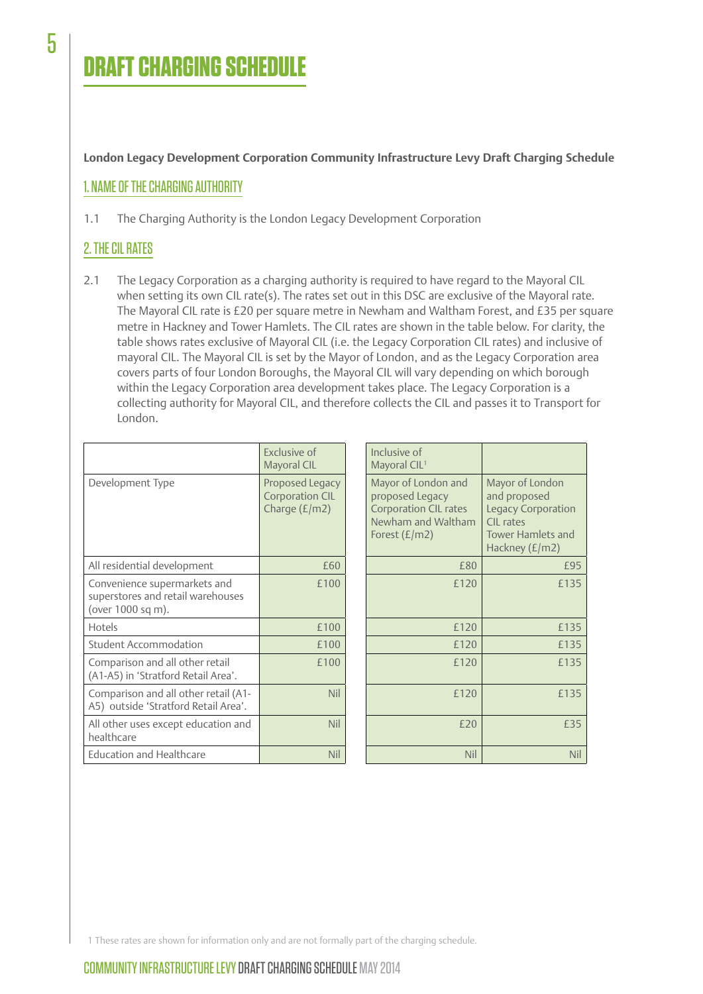# **DRAFT CHARGING SCHEDU**

**London Legacy Development Corporation Community Infrastructure Levy Draft Charging Schedule**

#### 1. NAME OF THE CHARGING AUTHORITY

1.1 The Charging Authority is the London Legacy Development Corporation

## 2. THE CIL RATES

2.1 The Legacy Corporation as a charging authority is required to have regard to the Mayoral CIL when setting its own CIL rate(s). The rates set out in this DSC are exclusive of the Mayoral rate. The Mayoral CIL rate is £20 per square metre in Newham and Waltham Forest, and £35 per square metre in Hackney and Tower Hamlets. The CIL rates are shown in the table below. For clarity, the table shows rates exclusive of Mayoral CIL (i.e. the Legacy Corporation CIL rates) and inclusive of mayoral CIL. The Mayoral CIL is set by the Mayor of London, and as the Legacy Corporation area covers parts of four London Boroughs, the Mayoral CIL will vary depending on which borough within the Legacy Corporation area development takes place. The Legacy Corporation is a collecting authority for Mayoral CIL, and therefore collects the CIL and passes it to Transport for London.

|                                                                                        | Exclusive of<br>Mayoral CIL                                  | Inclusive of<br>Mayoral CIL <sup>1</sup>                                                                        |                                                                                                                    |
|----------------------------------------------------------------------------------------|--------------------------------------------------------------|-----------------------------------------------------------------------------------------------------------------|--------------------------------------------------------------------------------------------------------------------|
| Development Type                                                                       | Proposed Legacy<br><b>Corporation CIL</b><br>Charge $(E/m2)$ | Mayor of London and<br>proposed Legacy<br><b>Corporation CIL rates</b><br>Newham and Waltham<br>Forest $(E/m2)$ | Mayor of London<br>and proposed<br>Legacy Corporation<br>CIL rates<br><b>Tower Hamlets and</b><br>Hackney $(E/m2)$ |
| All residential development                                                            | £60                                                          | £80                                                                                                             | £95                                                                                                                |
| Convenience supermarkets and<br>superstores and retail warehouses<br>(over 1000 sq m). | £100                                                         | £120                                                                                                            | £135                                                                                                               |
| Hotels                                                                                 | £100                                                         | £120                                                                                                            | £135                                                                                                               |
| <b>Student Accommodation</b>                                                           | £100                                                         | £120                                                                                                            | £135                                                                                                               |
| Comparison and all other retail<br>(A1-A5) in 'Stratford Retail Area'.                 | £100                                                         | £120                                                                                                            | £135                                                                                                               |
| Comparison and all other retail (A1-<br>A5) outside 'Stratford Retail Area'.           | Nil                                                          | £120                                                                                                            | £135                                                                                                               |
| All other uses except education and<br>healthcare                                      | <b>Nil</b>                                                   | £20                                                                                                             | £35                                                                                                                |
| <b>Education and Healthcare</b>                                                        | <b>Nil</b>                                                   | <b>Nil</b>                                                                                                      | Nil                                                                                                                |

1 These rates are shown for information only and are not formally part of the charging schedule.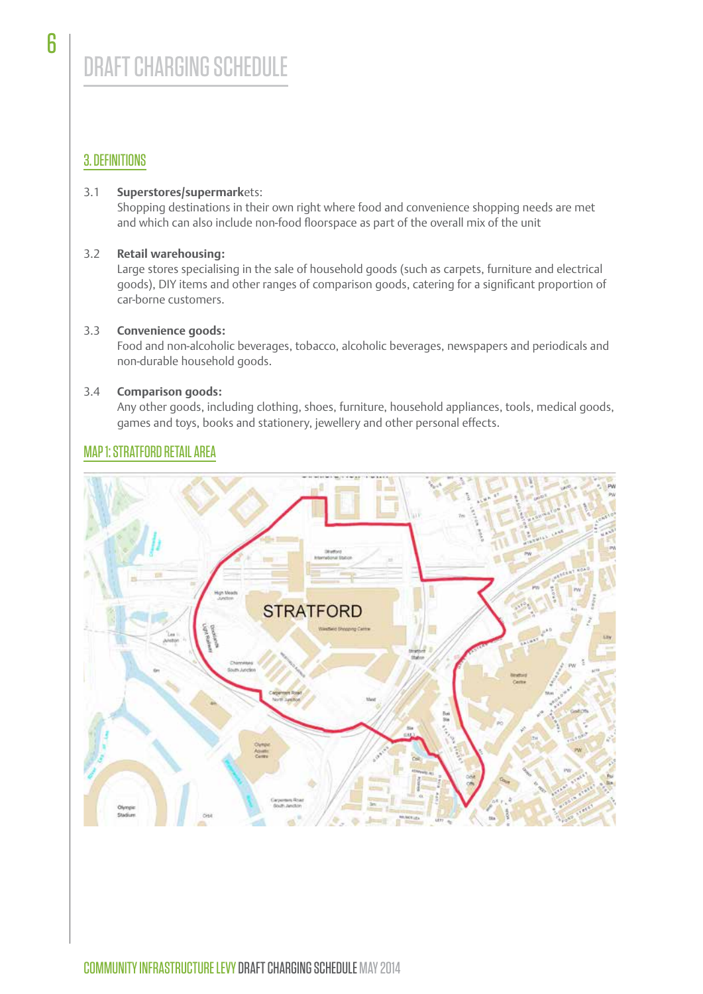## 3. DEFINITIONS

#### 3.1 **Superstores/supermark**ets:

Shopping destinations in their own right where food and convenience shopping needs are met and which can also include non-food floorspace as part of the overall mix of the unit

#### 3.2 **Retail warehousing:**

Large stores specialising in the sale of household goods (such as carpets, furniture and electrical goods), DIY items and other ranges of comparison goods, catering for a significant proportion of car-borne customers.

#### 3.3 **Convenience goods:**

Food and non-alcoholic beverages, tobacco, alcoholic beverages, newspapers and periodicals and non-durable household goods.

#### 3.4 **Comparison goods:**

Any other goods, including clothing, shoes, furniture, household appliances, tools, medical goods, games and toys, books and stationery, jewellery and other personal effects.

# **STRATFORD**

# MAP 1: STRATFORD RETAIL AREA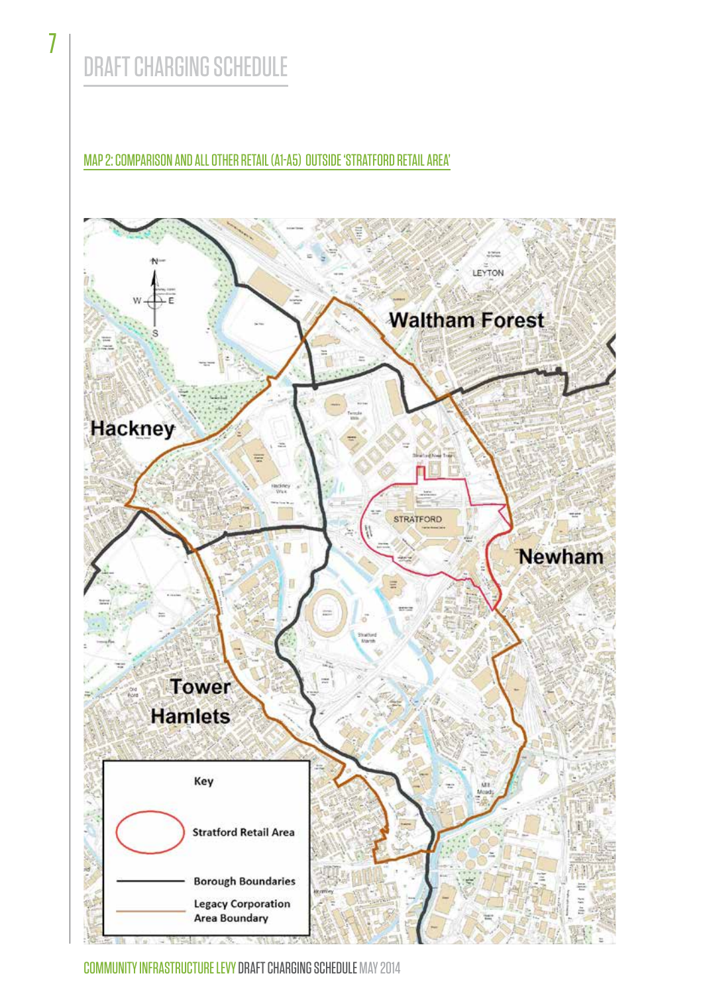# DRAFT CHARGING SCHEDULE

MAP 2: COMPARISON AND ALL OTHER RETAIL (A1-A5) OUTSIDE 'STRATFORD RETAIL AREA'



COMMUNITY INFRASTRUCTURE LEVY DRAFT CHARGING SCHEDULE MAY 2014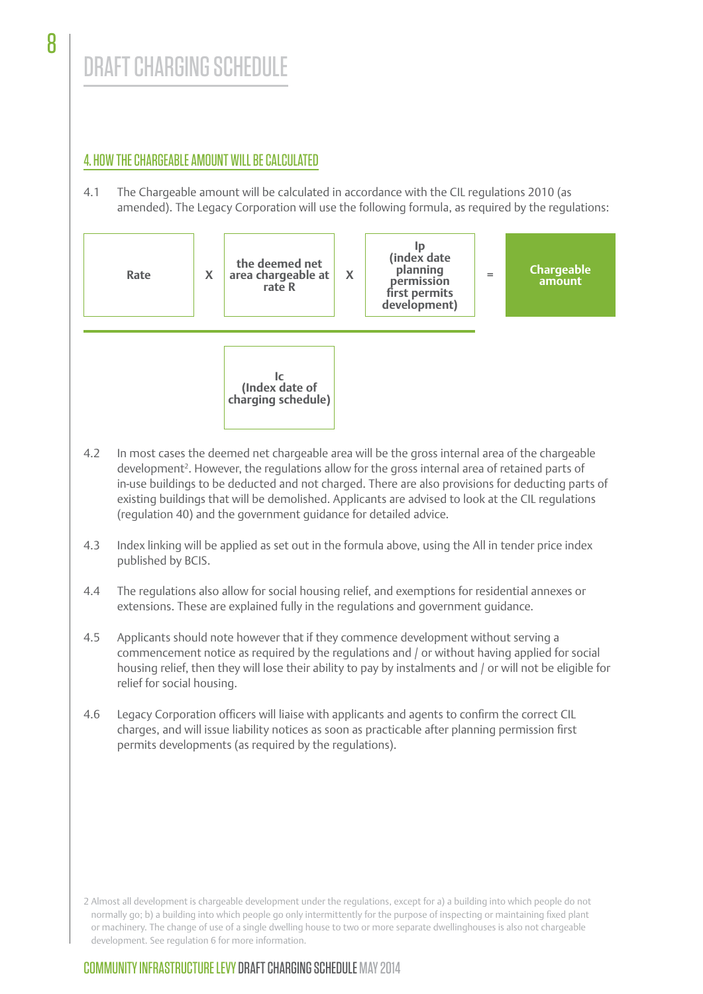# DRAFT CHARGING SCHEDULE

# 4. HOW THE CHARGEABLE AMOUNT WILL BE CALCULATED

4.1 The Chargeable amount will be calculated in accordance with the CIL regulations 2010 (as amended). The Legacy Corporation will use the following formula, as required by the regulations:



- 4.2 In most cases the deemed net chargeable area will be the gross internal area of the chargeable development<sup>2</sup>. However, the regulations allow for the gross internal area of retained parts of in-use buildings to be deducted and not charged. There are also provisions for deducting parts of existing buildings that will be demolished. Applicants are advised to look at the CIL regulations (regulation 40) and the government guidance for detailed advice.
- 4.3 Index linking will be applied as set out in the formula above, using the All in tender price index published by BCIS.
- 4.4 The regulations also allow for social housing relief, and exemptions for residential annexes or extensions. These are explained fully in the regulations and government guidance.
- 4.5 Applicants should note however that if they commence development without serving a commencement notice as required by the regulations and / or without having applied for social housing relief, then they will lose their ability to pay by instalments and / or will not be eligible for relief for social housing.
- 4.6 Legacy Corporation officers will liaise with applicants and agents to confirm the correct CIL charges, and will issue liability notices as soon as practicable after planning permission first permits developments (as required by the regulations).

2 Almost all development is chargeable development under the regulations, except for a) a building into which people do not normally go; b) a building into which people go only intermittently for the purpose of inspecting or maintaining fixed plant or machinery. The change of use of a single dwelling house to two or more separate dwellinghouses is also not chargeable development. See regulation 6 for more information.

# COMMUNITY INFRASTRUCTURE LEVY DRAFT CHARGING SCHEDUI F MAY 2014